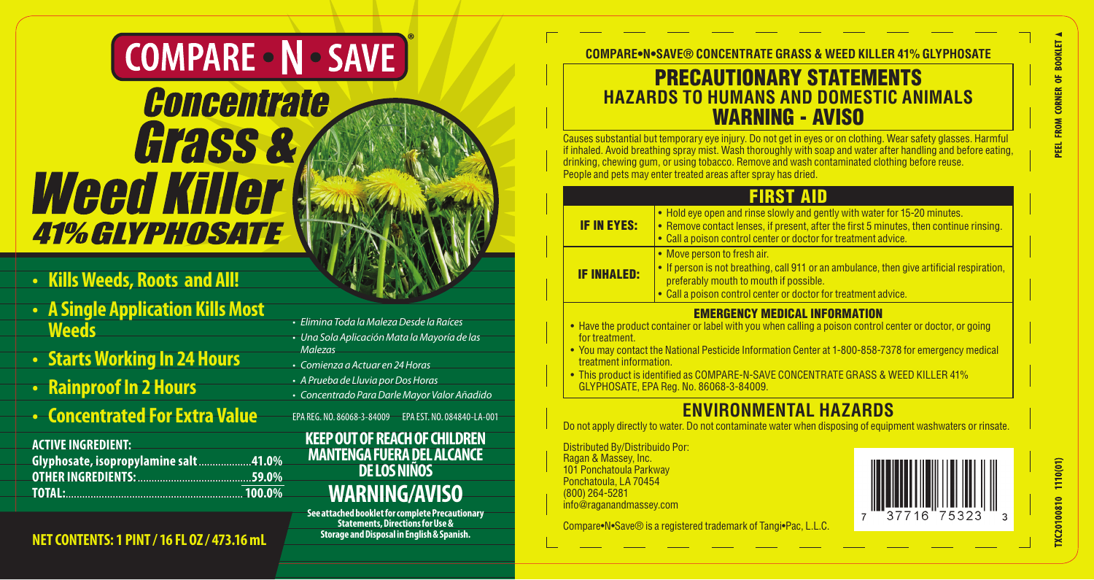# **COMPARE - N - SAVE**

# Concentrate **Grass &** *Weed Killer* **41% GLYPHOSATE**

### **• Kills Weeds, Roots and All!**

- **• A Single Application Kills Most Weeds**
- **• Starts Working In 24 Hours**
- **• Rainproof In 2 Hours**
- **• Concentrated For Extra Value**

### **ACTIVE INGREDIENT:**

| Glyphosate, isopropylamine salt41.0% |  |
|--------------------------------------|--|
|                                      |  |
| TOTAL: 100.0%                        |  |

### **Storage and Disposal in English & Spanish. NET CONTENTS: 1 PINT / 16 FL OZ / 473.16 mL**

### • Elimina Toda laMalezaDesde la Raíces

- Una Sola Aplicación Mata la Mayoría de las
- Malezas
- • Comienza a Actuar en 24Horas
- A Prueba de Lluvia por Dos Horas
- • Concentrado ParaDarleMayor Valor Añadido
- EPA REG. NO. 86068-3-84009 EPA EST. NO. 084840-LA-001

### **KEEP OUT OF REACH OF CHILDREN MANTENGA FUERA DEL ALCANCE DE LOS NIÑOS WARNING/AVISO**

**See attached booklet for complete Precautionary Statements, Directions for Use &**

**COMPARE•N•SAVE® CONCENTRATE GRASS & WEED KILLER 41% GLYPHOSATE**

### PRECAUTIONARY STATEMENTS **HAZARDS TO HUMANS AND DOMESTIC ANIMALS**  WARNING - AVISO

Causes substantial but temporary eye injury. Do not get in eyes or on clothing. Wear safety glasses. Harmful if inhaled. Avoid breathing spray mist. Wash thoroughly with soap and water after handling and before eating,<br>drinking, chewing gum, or using tobacco. Remove and wash contaminated clothing before reuse. People and pets may enter treated areas after spray has dried.

# **FIRST AID**

- IF IN EYES: • Hold eye open and rinse slowly and gently with water for 15-20 minutes. • Remove contact lenses, if present, after the first 5 minutes, then continue rinsing. • Call a poison control center or doctor for treatment advice. IF INHALED: • Move person to fresh air. • If person is not breathing, call 911 or an ambulance, then give artificial respiration, preferably mouth to mouth if possible. • Call a poison control center or doctor for treatment advice EMERGENCY MEDICAL INFORMATION • Have the product container or label with you when calling a poison control center or doctor, or going
- for treatment. • You may contact the National Pesticide Information Center at 1-800-858-7378 for emergency medical
- treatment information.
- • This product is identified as COMPARE-N-SAVE CONCENTRATE GRASS & WEED KILLER 41% GLYPHOSATE, EPA Reg. No. 86068-3-84009.

### **ENVIRONMENTAL HAZARDS**

Do not apply directly to water. Do not contaminate water when disposing of equipment washwaters or rinsate

Distributed By/Distribuido Por: Ragan & Massey, Inc. 101 Ponchatoula Parkway Ponchatoula, LA 70454 (800) 264-5281 info@raganandmassey.com

Compare•N•Save® is a registered trademark of Tangi•Pac, L.L.C.



1110(01) XC20100810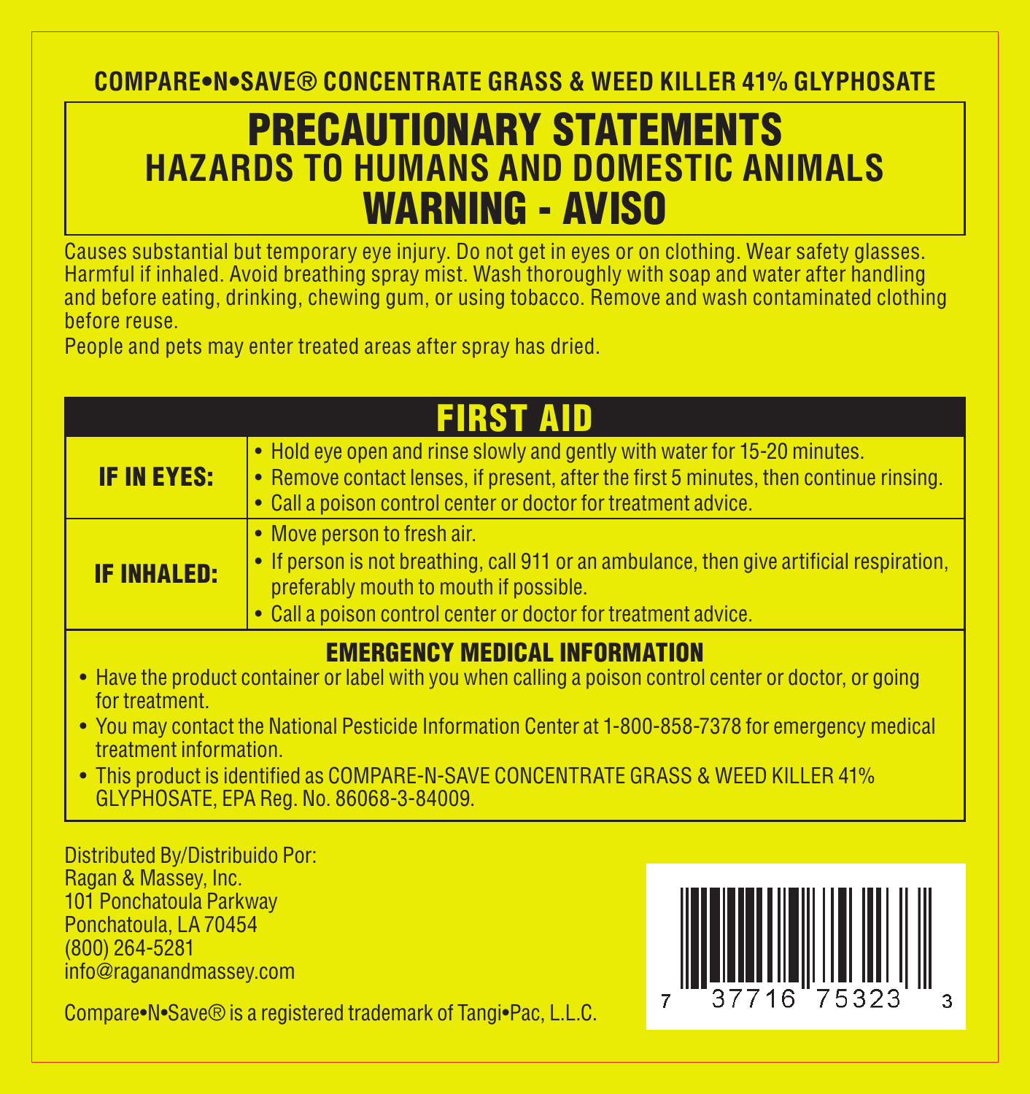**COMPARE•N•SAVE® CONCENTRATE GRASS & WEED KILLER 41% GLYPHOSATE**

### PRECAUTIONARY STATEMENTS **HAZARDS TO HUMANS AND DOMESTIC ANIMALS**  WARNING - AVISO

Causes substantial but temporary eye injury. Do not get in eyes or on clothing. Wear safety glasses. Harmful if inhaled. Avoid breathing spray mist. Wash thoroughly with soap and water after handling and before eating, drinking, chewing gum, or using tobacco. Remove and wash contaminated clothing before reuse.

People and pets may enter treated areas after spray has dried.

| <b>FIRST AID</b>   |                                                                                                                                                                                                                                       |  |  |
|--------------------|---------------------------------------------------------------------------------------------------------------------------------------------------------------------------------------------------------------------------------------|--|--|
| <b>IF IN EYES:</b> | • Hold eye open and rinse slowly and gently with water for 15-20 minutes.<br>• Remove contact lenses, if present, after the first 5 minutes, then continue rinsing.<br>• Call a poison control center or doctor for treatment advice. |  |  |
| <b>IF INHALED:</b> | • Move person to fresh air.<br>• If person is not breathing, call 911 or an ambulance, then give artificial respiration,<br>preferably mouth to mouth if possible.<br>• Call a poison control center or doctor for treatment advice.  |  |  |

#### EMERGENCY MEDICAL INFORMATION

- Have the product container or label with you when calling a poison control center or doctor, or going for treatment.
- You may contact the National Pesticide Information Center at 1-800-858-7378 for emergency medical treatment information.
- This product is identified as COMPARE-N-SAVE CONCENTRATE GRASS & WEED KILLER 41% GLYPHOSATE, EPA Reg. No. 86068-3-84009.

Distributed By/Distribuido Por: Ragan & Massey, Inc. 101 Ponchatoula Parkway Ponchatoula, LA 70454 (800) 264-5281 info@raganandmassey.com



Compare•N•Save® is a registered trademark of Tangi•Pac, L.L.C.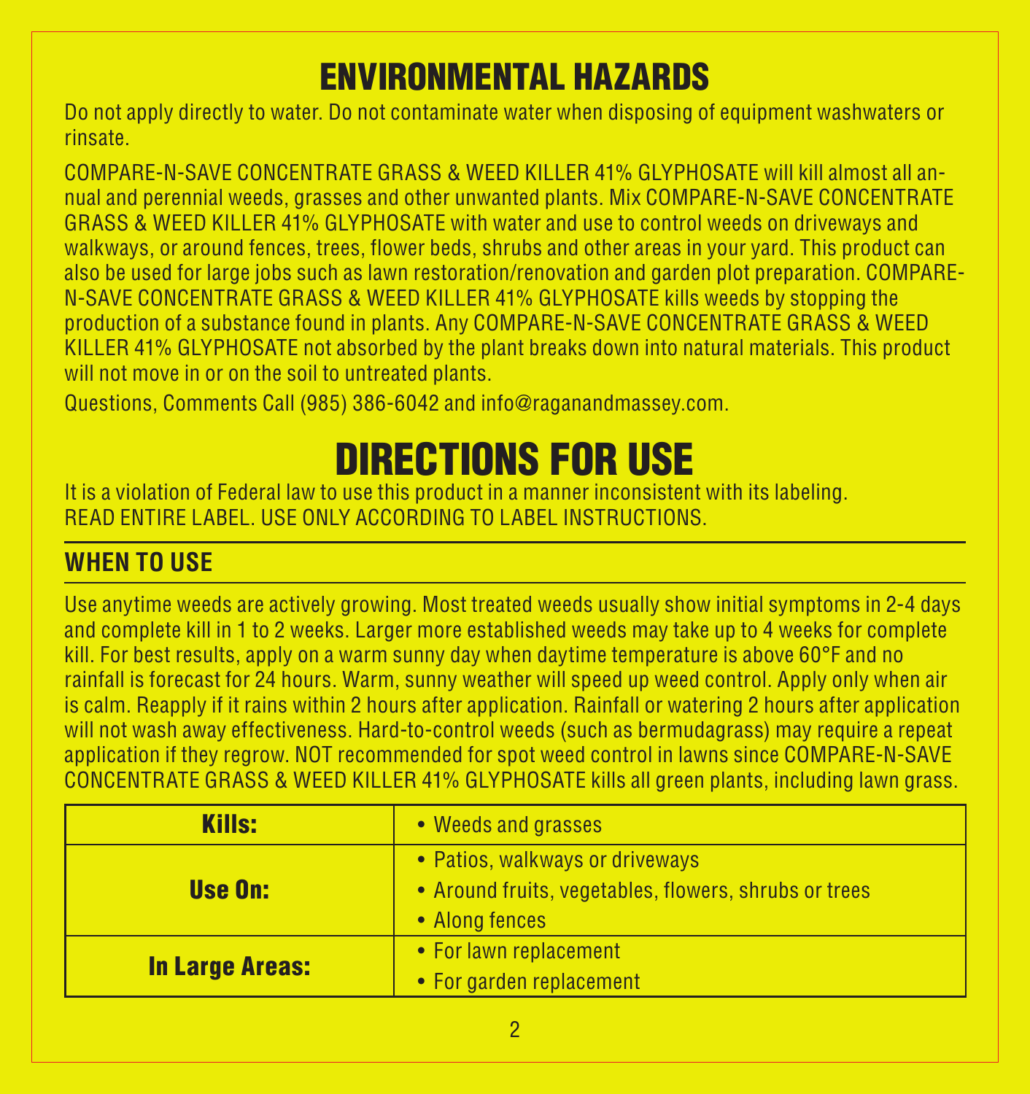### ENVIRONMENTAL HAZARDS

Do not apply directly to water. Do not contaminate water when disposing of equipment washwaters or rinsate.

COMPARE-N-SAVE CONCENTRATE GRASS & WEED KILLER 41% GLYPHOSATE will kill almost all annual and perennial weeds, grasses and other unwanted plants. Mix COMPARE-N-SAVE CONCENTRATE GRASS & WEED KILLER 41% GLYPHOSATE with water and use to control weeds on driveways and walkways, or around fences, trees, flower beds, shrubs and other areas in your yard. This product can also be used for large jobs such as lawn restoration/renovation and garden plot preparation. COMPARE-N-SAVE CONCENTRATE GRASS & WEED KILLER 41% GLYPHOSATE kills weeds by stopping the production of a substance found in plants. Any COMPARE-N-SAVE CONCENTRATE GRASS & WEED KILLER 41% GLYPHOSATE not absorbed by the plant breaks down into natural materials. This product will not move in or on the soil to untreated plants.

Questions, Comments Call (985) 386-6042 and info@raganandmassey.com.

# DIRECTIONS FOR USE

It is a violation of Federal law to use this product in a manner inconsistent with its labeling. READ ENTIRE LABEL. USE ONLY ACCORDING TO LABEL INSTRUCTIONS.

### **WHEN TO USE**

Use anytime weeds are actively growing. Most treated weeds usually show initial symptoms in 2-4 days and complete kill in 1 to 2 weeks. Larger more established weeds may take up to 4 weeks for complete kill. For best results, apply on a warm sunny day when daytime temperature is above 60°F and no rainfall is forecast for 24 hours. Warm, sunny weather will speed up weed control. Apply only when air is calm. Reapply if it rains within 2 hours after application. Rainfall or watering 2 hours after application will not wash away effectiveness. Hard-to-control weeds (such as bermudagrass) may require a repeat application if they regrow. NOT recommended for spot weed control in lawns since COMPARE-N-SAVE CONCENTRATE GRASS & WEED KILLER 41% GLYPHOSATE kills all green plants, including lawn grass.

| <b>Kills:</b>          | • Weeds and grasses                                                                                        |  |
|------------------------|------------------------------------------------------------------------------------------------------------|--|
| Use On:                | • Patios, walkways or driveways<br>• Around fruits, vegetables, flowers, shrubs or trees<br>• Along fences |  |
| <b>In Large Areas:</b> | • For lawn replacement<br>• For garden replacement                                                         |  |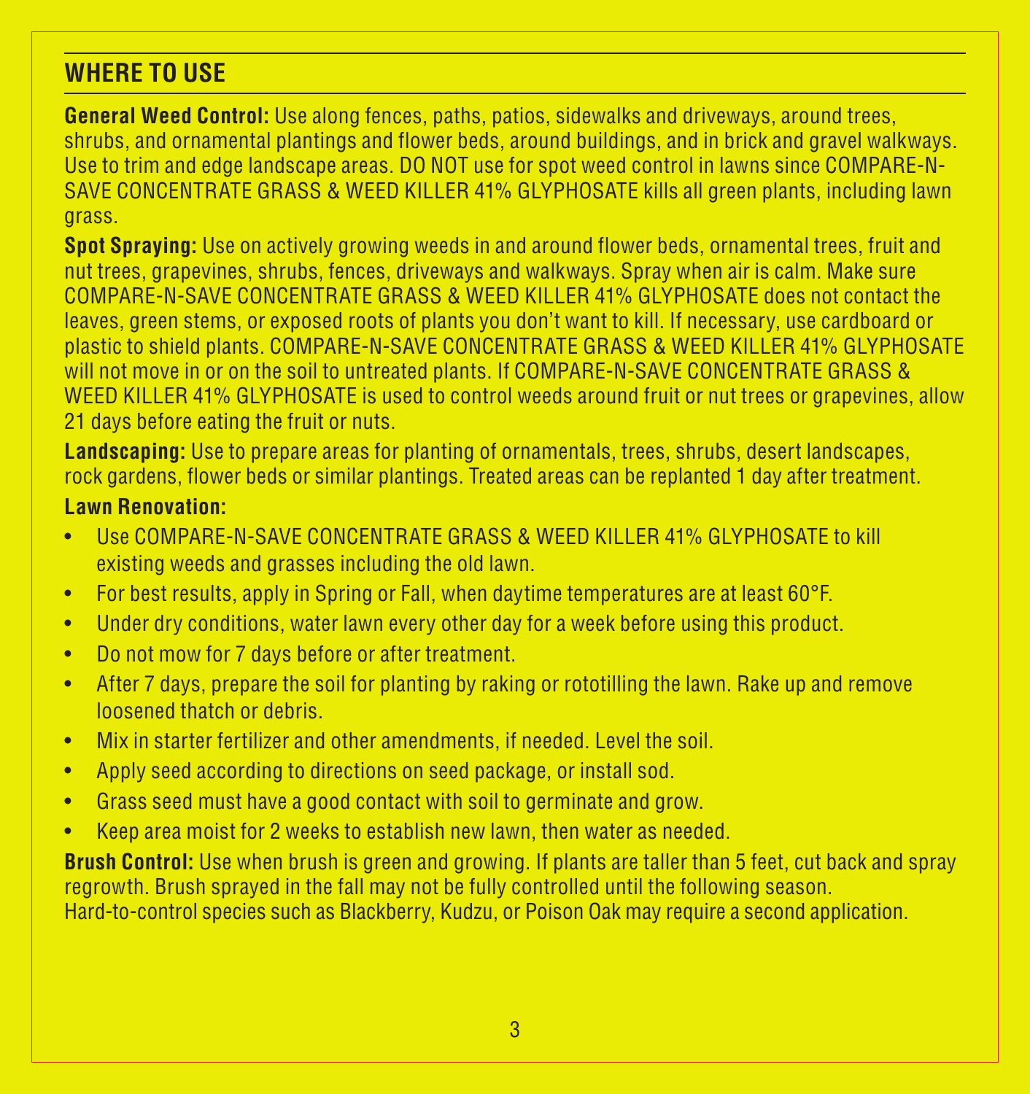#### **WHERE TO USE**

**General Weed Control:** Use along fences, paths, patios, sidewalks and driveways, around trees, shrubs, and ornamental plantings and flower beds, around buildings, and in brick and gravel walkways. Use to trim and edge landscape areas. DO NOT use for spot weed control in lawns since COMPARE-N-SAVE CONCENTRATE GRASS & WEED KILLER 41% GLYPHOSATE kills all green plants, including lawn grass.

**Spot Spraying:** Use on actively growing weeds in and around flower beds, ornamental trees, fruit and nut trees, grapevines, shrubs, fences, driveways and walkways. Spray when air is calm. Make sure COMPARE-N-SAVE CONCENTRATE GRASS & WEED KILLER 41% GLYPHOSATE does not contact the leaves, green stems, or exposed roots of plants you don't want to kill. If necessary, use cardboard or plastic to shield plants. COMPARE-N-SAVE CONCENTRATE GRASS & WEED KILLER 41% GLYPHOSATE will not move in or on the soil to untreated plants. If COMPARE-N-SAVE CONCENTRATE GRASS & WEED KILLER 41% GLYPHOSATE is used to control weeds around fruit or nut trees or grapevines, allow 21 days before eating the fruit or nuts.

**Landscaping:** Use to prepare areas for planting of ornamentals, trees, shrubs, desert landscapes, rock gardens, flower beds or similar plantings. Treated areas can be replanted 1 day after treatment.

#### **Lawn Renovation:**

- **USE COMPARE-N-SAVE CONCENTRATE GRASS & WEED KILLER 41% GLYPHOSATE to kill** existing weeds and grasses including the old lawn.
- For best results, apply in Spring or Fall, when daytime temperatures are at least 60°F.
- Under dry conditions, water lawn every other day for a week before using this product.
- • Do not mow for 7 days before or after treatment.
- • After 7 days, prepare the soil for planting by raking or rototilling the lawn. Rake up and remove loosened thatch or debris.
- Mix in starter fertilizer and other amendments, if needed. Level the soil.
- Apply seed according to directions on seed package, or install sod.
- Grass seed must have a good contact with soil to germinate and grow.
- Keep area moist for 2 weeks to establish new lawn, then water as needed.

**Brush Control:** Use when brush is green and growing. If plants are taller than 5 feet, cut back and spray regrowth. Brush sprayed in the fall may not be fully controlled until the following season. Hard-to-control species such as Blackberry, Kudzu, or Poison Oak may require a second application.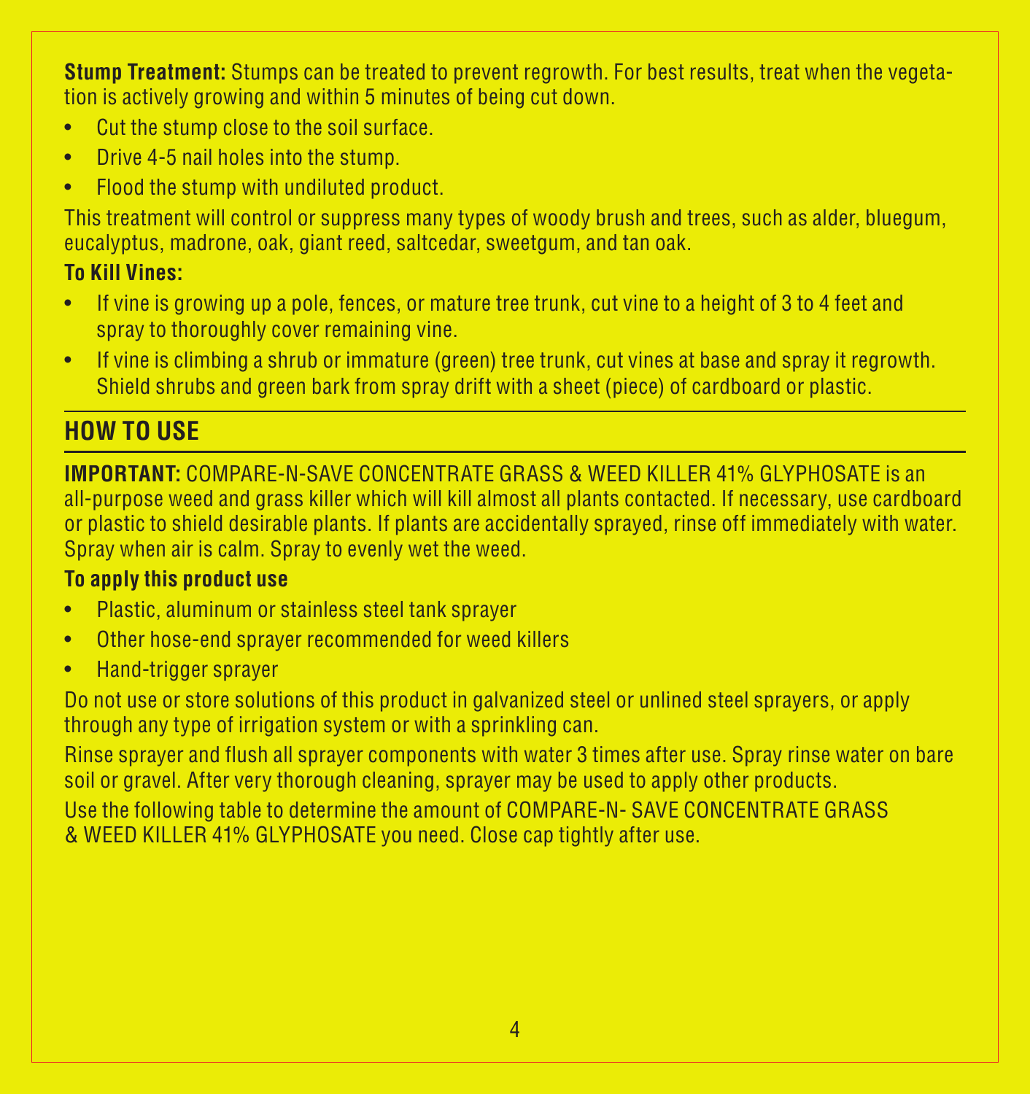**Stump Treatment:** Stumps can be treated to prevent regrowth. For best results, treat when the vegetation is actively growing and within 5 minutes of being cut down.

- • Cut the stump close to the soil surface.
- Drive 4-5 nail holes into the stump.
- Flood the stump with undiluted product.

This treatment will control or suppress many types of woody brush and trees, such as alder, bluegum, eucalyptus, madrone, oak, giant reed, saltcedar, sweetgum, and tan oak.

#### **To Kill Vines:**

- If vine is growing up a pole, fences, or mature tree trunk, cut vine to a height of 3 to 4 feet and spray to thoroughly cover remaining vine.
- If vine is climbing a shrub or immature (green) tree trunk, cut vines at base and spray it regrowth. Shield shrubs and green bark from spray drift with a sheet (piece) of cardboard or plastic.

#### **HOW TO USE**

**IMPORTANT:** COMPARE-N-SAVE CONCENTRATE GRASS & WEED KILLER 41% GLYPHOSATE is an all-purpose weed and grass killer which will kill almost all plants contacted. If necessary, use cardboard or plastic to shield desirable plants. If plants are accidentally sprayed, rinse off immediately with water. Spray when air is calm. Spray to evenly wet the weed.

#### **To apply this product use**

- • Plastic, aluminum or stainless steel tank sprayer
- • Other hose-end sprayer recommended for weed killers
- • Hand-trigger sprayer

Do not use or store solutions of this product in galvanized steel or unlined steel sprayers, or apply through any type of irrigation system or with a sprinkling can.

Rinse sprayer and flush all sprayer components with water 3 times after use. Spray rinse water on bare soil or gravel. After very thorough cleaning, sprayer may be used to apply other products.

Use the following table to determine the amount of COMPARE-N- SAVE CONCENTRATE GRASS & WEED KILLER 41% GLYPHOSATE you need. Close cap tightly after use.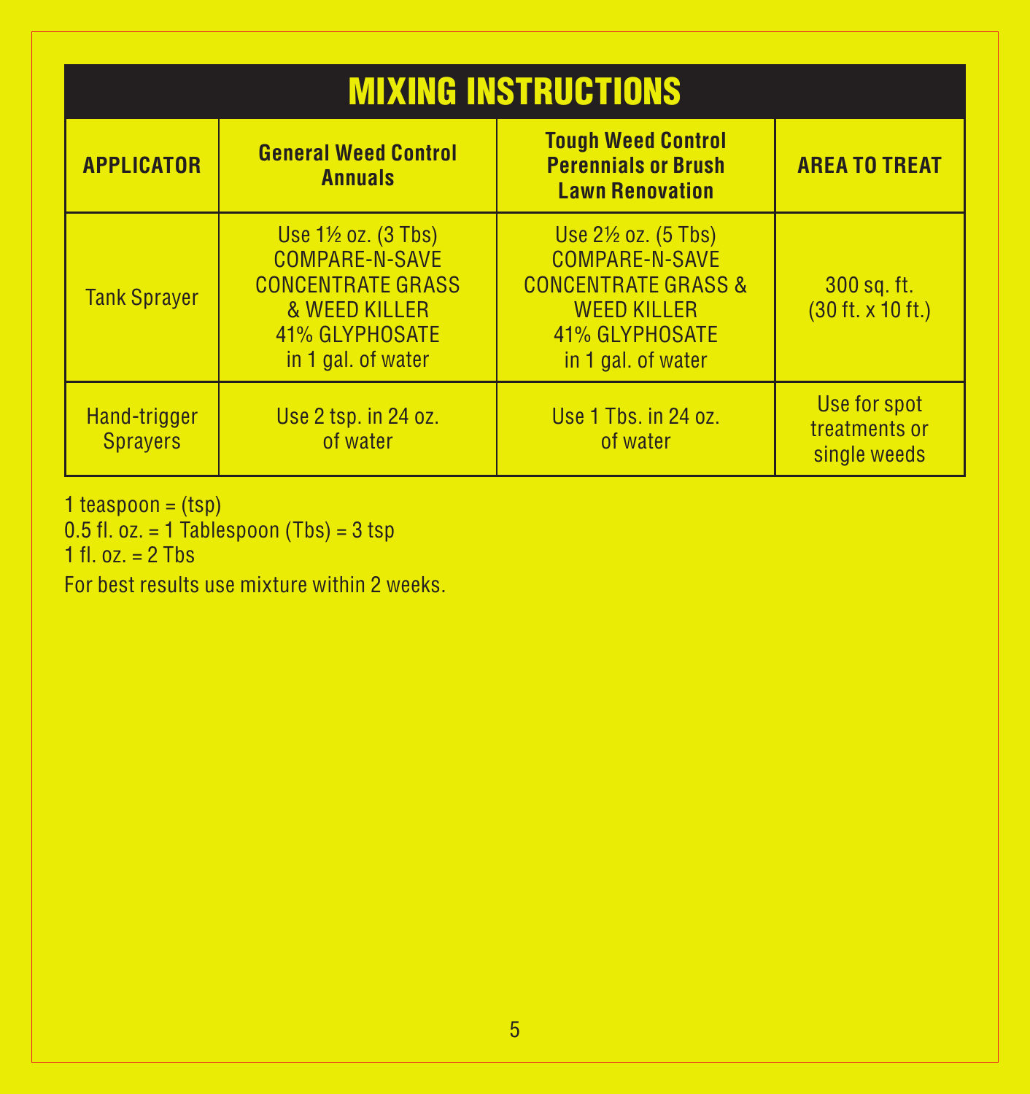| <b>MIXING INSTRUCTIONS</b>      |                                                                                                                                         |                                                                                                                                                  |                                                         |  |
|---------------------------------|-----------------------------------------------------------------------------------------------------------------------------------------|--------------------------------------------------------------------------------------------------------------------------------------------------|---------------------------------------------------------|--|
| <b>APPLICATOR</b>               | <b>General Weed Control</b><br><b>Annuals</b>                                                                                           | <b>Tough Weed Control</b><br><b>Perennials or Brush</b><br><b>Lawn Renovation</b>                                                                | <b>AREA TO TREAT</b>                                    |  |
| <b>Tank Spraver</b>             | Use $1\frac{1}{2}$ oz. $(3$ Tbs)<br>COMPARE-N-SAVE<br><b>CONCENTRATE GRASS</b><br>& WEED KILLER<br>41% GLYPHOSATE<br>in 1 gal. of water | Use $2\frac{1}{2}$ oz. (5 Tbs)<br>COMPARE-N-SAVE<br><b>CONCENTRATE GRASS &amp;</b><br><b>WEED KILLER</b><br>41% GLYPHOSATE<br>in 1 gal. of water | 300 sq. ft.<br>$(30 \text{ ft.} \times 10 \text{ ft.})$ |  |
| Hand-trigger<br><b>Sprayers</b> | Use 2 tsp. in 24 oz.<br>of water                                                                                                        | Use 1 Tbs. in 24 oz.<br>of water                                                                                                                 | Use for spot<br>treatments or<br>single weeds           |  |

1 teaspoon =  $(tsp)$ 

0.5 fl. oz. = 1 Tablespoon (Tbs) = 3 tsp 1 fl. oz. = 2 Tbs

For best results use mixture within 2 weeks.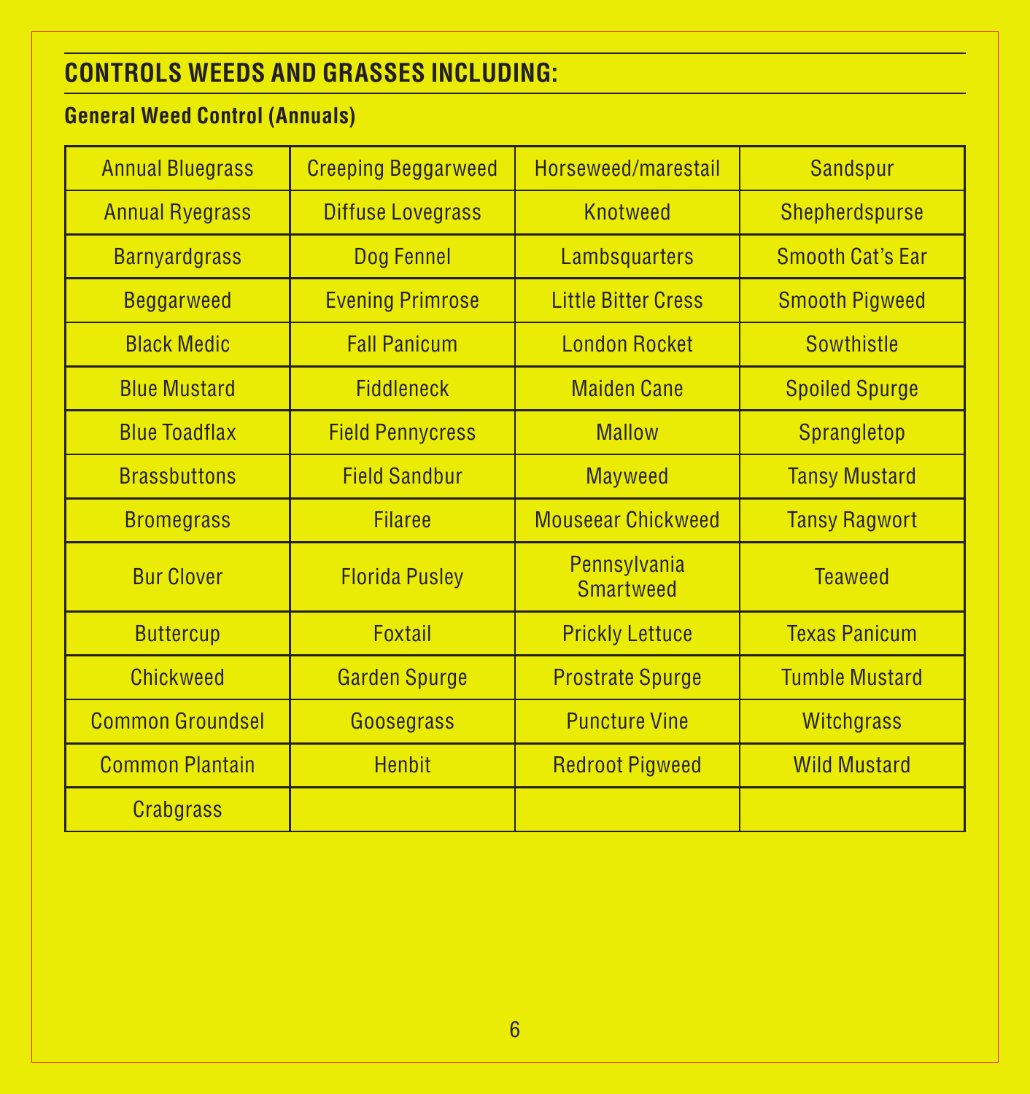### **CONTROLS WEEDS AND GRASSES INCLUDING:**

### **General Weed Control (Annuals)**

| <b>Annual Bluegrass</b> | <b>Creeping Beggarweed</b> | Horseweed/marestail              | <b>Sandspur</b>       |
|-------------------------|----------------------------|----------------------------------|-----------------------|
| <b>Annual Ryegrass</b>  | <b>Diffuse Lovegrass</b>   | <b>Knotweed</b>                  | Shepherdspurse        |
| <b>Barnyardgrass</b>    | Dog Fennel                 | Lambsquarters                    | Smooth Cat's Far      |
| <b>Beggarweed</b>       | <b>Evening Primrose</b>    | <b>Little Bitter Cress</b>       | <b>Smooth Pigweed</b> |
| <b>Black Medic</b>      | <b>Fall Panicum</b>        | <b>London Rocket</b>             | Sowthistle            |
| <b>Blue Mustard</b>     | <b>Fiddleneck</b>          | <b>Maiden Cane</b>               | <b>Spoiled Spurge</b> |
| <b>Blue Toadflax</b>    | <b>Field Pennycress</b>    | <b>Mallow</b>                    | <b>Sprangletop</b>    |
| <b>Brassbuttons</b>     | <b>Field Sandbur</b>       | <b>Mayweed</b>                   | <b>Tansy Mustard</b>  |
| <b>Bromegrass</b>       | <b>Filaree</b>             | <b>Mouseear Chickweed</b>        | <b>Tansy Ragwort</b>  |
| <b>Bur Clover</b>       | <b>Florida Pusley</b>      | Pennsylvania<br><b>Smartweed</b> | <b>Teaweed</b>        |
| <b>Buttercup</b>        | Foxtail                    | <b>Prickly Lettuce</b>           | <b>Texas Panicum</b>  |
| <b>Chickweed</b>        | <b>Garden Spurge</b>       | <b>Prostrate Spurge</b>          | <b>Tumble Mustard</b> |
| <b>Common Groundsel</b> | Goosegrass                 | <b>Puncture Vine</b>             | <b>Witchgrass</b>     |
| <b>Common Plantain</b>  | <b>Henbit</b>              | <b>Redroot Pigweed</b>           | <b>Wild Mustard</b>   |
| <b>Crabgrass</b>        |                            |                                  |                       |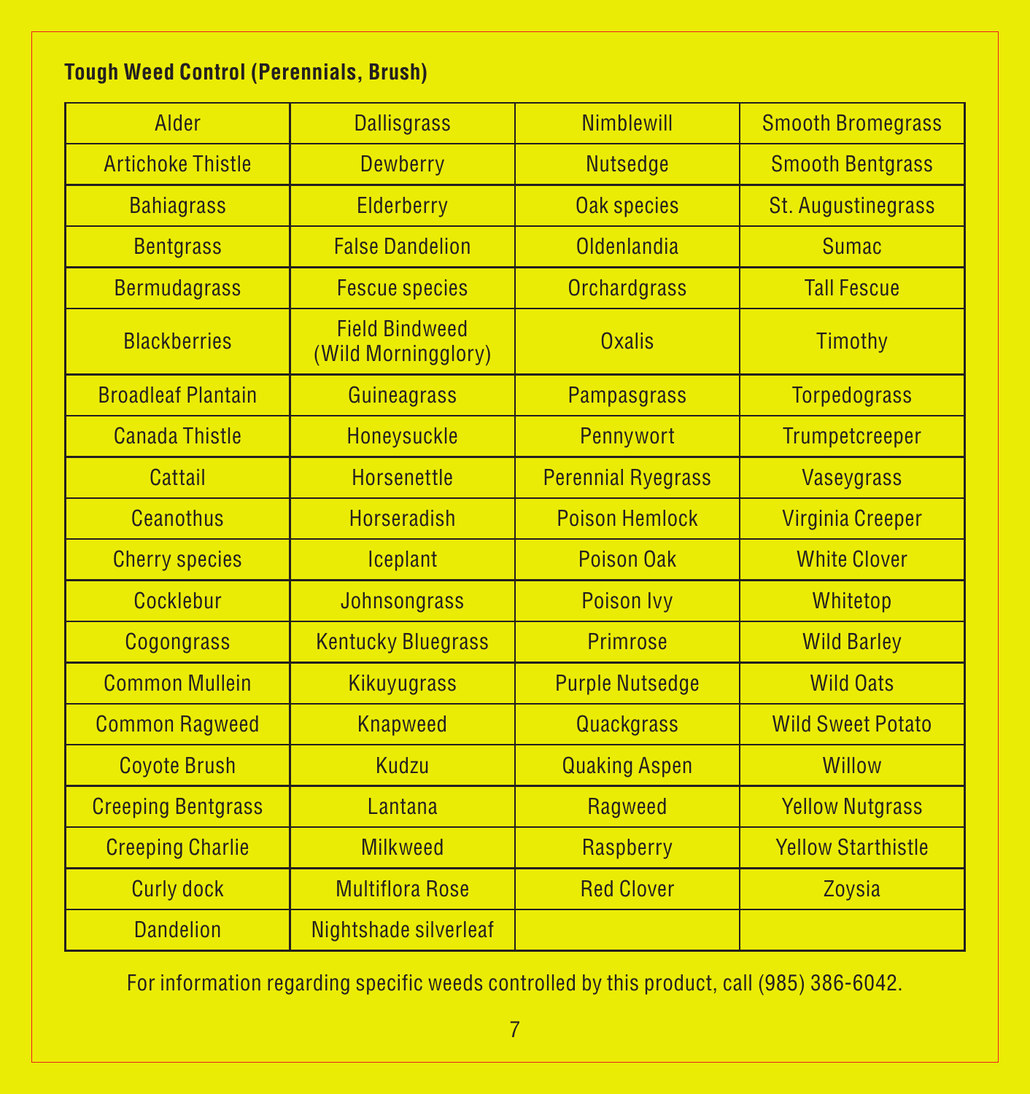#### **Tough Weed Control (Perennials, Brush)**

| Alder                     | <b>Dallisgrass</b>                           | <b>Nimblewill</b>         | <b>Smooth Bromegrass</b>  |
|---------------------------|----------------------------------------------|---------------------------|---------------------------|
| <b>Artichoke Thistle</b>  | Dewberry                                     | <b>Nutsedge</b>           | <b>Smooth Bentgrass</b>   |
| <b>Bahiagrass</b>         | Elderberry                                   | <b>Oak species</b>        | <b>St. Augustinegrass</b> |
| <b>Bentarass</b>          | <b>False Dandelion</b>                       | Oldenlandia               | <b>Sumac</b>              |
| <b>Bermudagrass</b>       | <b>Fescue species</b>                        | <b>Orchardgrass</b>       | <b>Tall Fescue</b>        |
| <b>Blackberries</b>       | <b>Field Bindweed</b><br>(Wild Morningglory) | Oxalis                    | Timothy                   |
| <b>Broadleaf Plantain</b> | <b>Guineagrass</b>                           | <b>Pampasgrass</b>        | <b>Torpedograss</b>       |
| <b>Canada Thistle</b>     | Honeysuckle                                  | Pennywort                 | <b>Trumpetcreeper</b>     |
| Cattail                   | <b>Horsenettle</b>                           | <b>Perennial Ryegrass</b> | <b>Vaseygrass</b>         |
| Ceanothus                 | <b>Horseradish</b>                           | <b>Poison Hemlock</b>     | <b>Virginia Creeper</b>   |
| <b>Cherry species</b>     | Iceplant                                     | Poison Oak                | <b>White Clover</b>       |
| Cocklebur                 | <b>Johnsongrass</b>                          | <b>Poison Ivv</b>         | Whitetop                  |
| <b>Cogongrass</b>         | <b>Kentucky Bluegrass</b>                    | <b>Primrose</b>           | <b>Wild Barley</b>        |
| <b>Common Mullein</b>     | <b>Kikuyugrass</b>                           | <b>Purple Nutsedge</b>    | <b>Wild Oats</b>          |
| <b>Common Ragweed</b>     | <b>Knapweed</b>                              | Quackgrass                | <b>Wild Sweet Potato</b>  |
| <b>Coyote Brush</b>       | Kudzu                                        | <b>Quaking Aspen</b>      | <b>Willow</b>             |
| <b>Creeping Bentgrass</b> | Lantana                                      | <b>Ragweed</b>            | <b>Yellow Nutgrass</b>    |
| <b>Creeping Charlie</b>   | <b>Milkweed</b>                              | Raspberry                 | <b>Yellow Starthistle</b> |
| <b>Curly dock</b>         | <b>Multiflora Rose</b>                       | <b>Red Clover</b>         | Zoysia                    |
| <b>Dandelion</b>          | Nightshade silverleaf                        |                           |                           |

For information regarding specific weeds controlled by this product, call (985) 386-6042.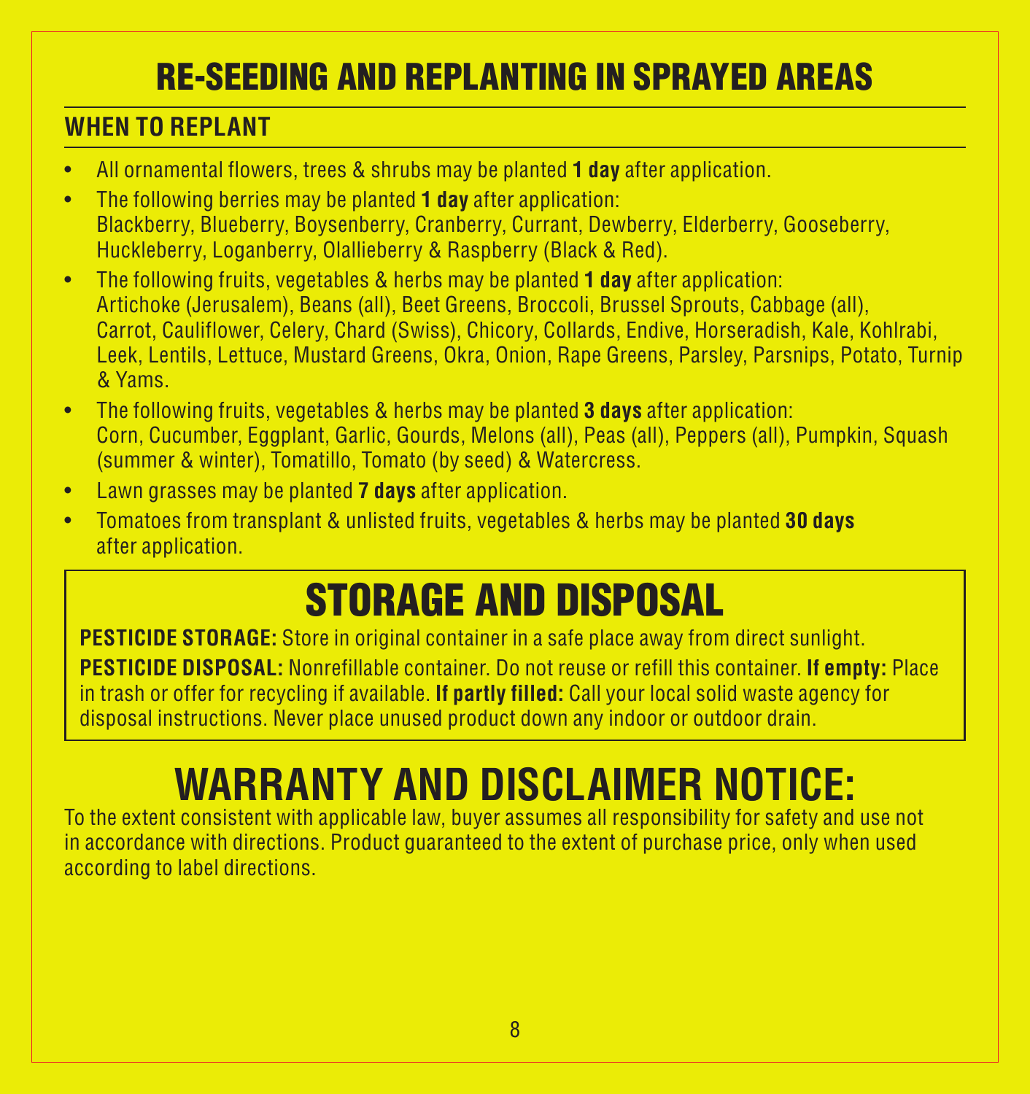### RE-SEEDING AND REPLANTING IN SPRAYED AREAS

#### **WHEN TO REPLANT**

- • All ornamental flowers, trees & shrubs may be planted **1 day** after application.
- • The following berries may be planted **1 day** after application: Blackberry, Blueberry, Boysenberry, Cranberry, Currant, Dewberry, Elderberry, Gooseberry, Huckleberry, Loganberry, Olallieberry & Raspberry (Black & Red).
- • The following fruits, vegetables & herbs may be planted **1 day** after application: Artichoke (Jerusalem), Beans (all), Beet Greens, Broccoli, Brussel Sprouts, Cabbage (all), Carrot, Cauliflower, Celery, Chard (Swiss), Chicory, Collards, Endive, Horseradish, Kale, Kohlrabi, Leek, Lentils, Lettuce, Mustard Greens, Okra, Onion, Rape Greens, Parsley, Parsnips, Potato, Turnip & Yams.
- • The following fruits, vegetables & herbs may be planted **3 days** after application: Corn, Cucumber, Eggplant, Garlic, Gourds, Melons (all), Peas (all), Peppers (all), Pumpkin, Squash (summer & winter), Tomatillo, Tomato (by seed) & Watercress.
- • Lawn grasses may be planted **7 days** after application.
- • Tomatoes from transplant & unlisted fruits, vegetables & herbs may be planted **30 days** after application.

# STORAGE AND DISPOSAL

**PESTICIDE STORAGE:** Store in original container in a safe place away from direct sunlight. **PESTICIDE DISPOSAL:** Nonrefillable container. Do not reuse or refill this container. **If empty:** Place in trash or offer for recycling if available. **If partly filled:** Call your local solid waste agency for disposal instructions. Never place unused product down any indoor or outdoor drain.

# **WARRANTY AND DISCLAIMER NOTICE:**

To the extent consistent with applicable law, buyer assumes all responsibility for safety and use not in accordance with directions. Product guaranteed to the extent of purchase price, only when used according to label directions.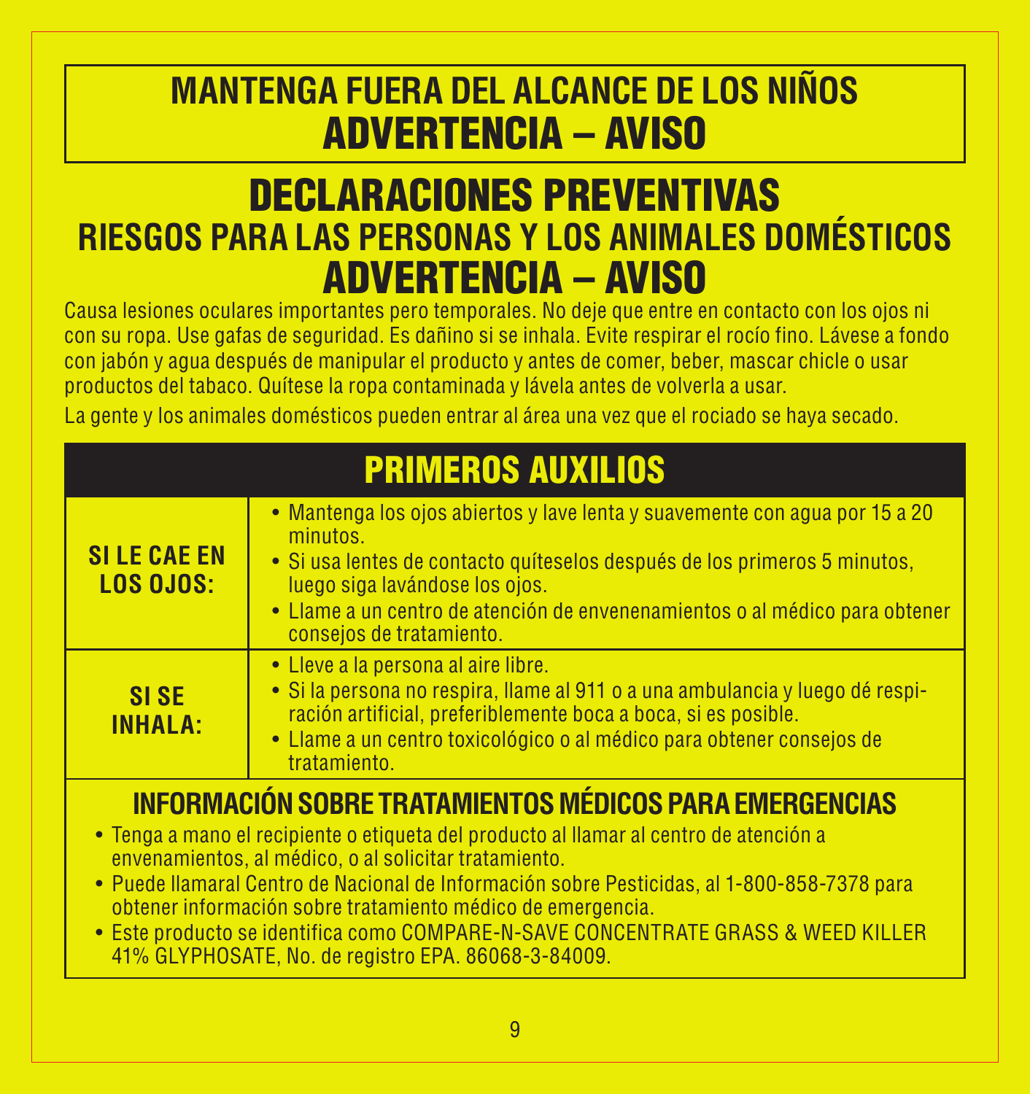### **MANTENGA FUERA DEL ALCANCE DE LOS NIÑOS** ADVERTENCIA – AVISO

### DECLARACIONES PREVENTIVAS **RIESGOS PARA LAS PERSONAS Y LOS ANIMALES DOMÉSTICOS** ADVERTENCIA – AVISO

Causa lesiones oculares importantes pero temporales. No deje que entre en contacto con los ojos ni con su ropa. Use gafas de seguridad. Es dañino si se inhala. Evite respirar el rocío fino. Lávese a fondo con jabón y agua después de manipular el producto y antes de comer, beber, mascar chicle o usar productos del tabaco. Quítese la ropa contaminada y lávela antes de volverla a usar.

La gente y los animales domésticos pueden entrar al área una vez que el rociado se haya secado.

| <b>PRIMEROS AUXILIOS</b> |  |  |  |
|--------------------------|--|--|--|
|                          |  |  |  |

| <b>SILE CAE EN</b><br><b>LOS OJOS:</b>                         | • Mantenga los ojos abiertos y lave lenta y suavemente con agua por 15 a 20<br>minutos.<br>· Si usa lentes de contacto quíteselos después de los primeros 5 minutos,<br>luego siga lavándose los ojos.<br>• Llame a un centro de atención de envenenamientos o al médico para obtener<br>consejos de tratamiento. |  |  |
|----------------------------------------------------------------|-------------------------------------------------------------------------------------------------------------------------------------------------------------------------------------------------------------------------------------------------------------------------------------------------------------------|--|--|
| <b>SISE</b><br><b>INHALA:</b>                                  | • Lleve a la persona al aire libre.<br>· Si la persona no respira, llame al 911 o a una ambulancia y luego dé respi-<br>ración artificial, preferiblemente boca a boca, si es posible.<br>· Llame a un centro toxicológico o al médico para obtener consejos de<br>tratamiento.                                   |  |  |
| <b>INFORMACIÓN SOBRE TRATAMIENTOS MÉDICOS PARA EMERGENCIAS</b> |                                                                                                                                                                                                                                                                                                                   |  |  |

- • Tenga a mano el recipiente o etiqueta del producto al llamar al centro de atención a envenamientos, al médico, o al solicitar tratamiento.
- • Puede llamaral Centro de Nacional de Información sobre Pesticidas, al 1-800-858-7378 para obtener información sobre tratamiento médico de emergencia.
- • Este producto se identifica como COMPARE-N-SAVE CONCENTRATE GRASS & WEED KILLER 41% GLYPHOSATE, No. de registro EPA. 86068-3-84009.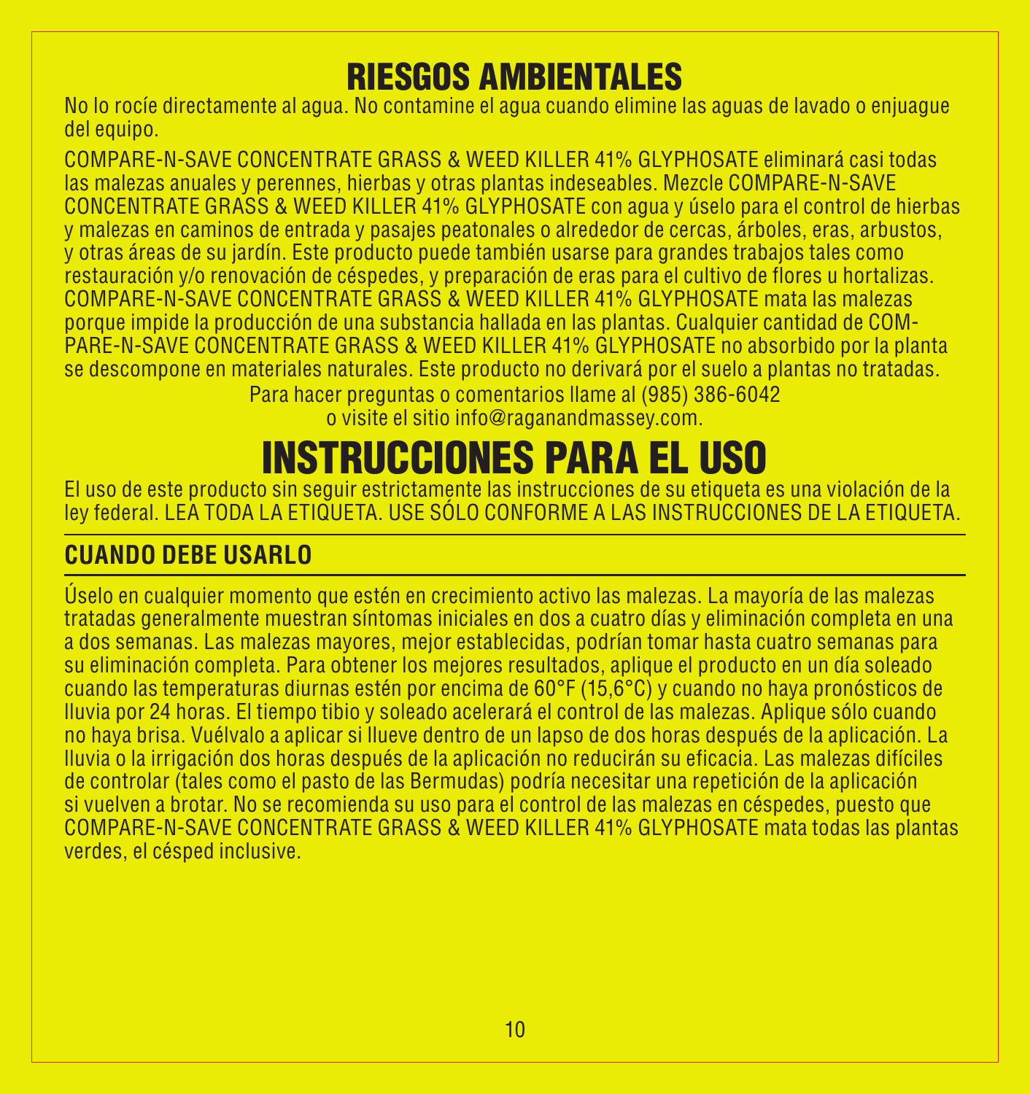### RIESGOS AMBIENTALES

No lo rocíe directamente al agua. No contamine el agua cuando elimine las aguas de lavado o enjuague del equipo.

COMPARE-N-SAVE CONCENTRATE GRASS & WEED KILLER 41% GLYPHOSATE eliminará casi todas las malezas anuales y perennes, hierbas y otras plantas indeseables. Mezcle COMPARE-N-SAVE CONCENTRATE GRASS & WEED KILLER 41% GLYPHOSATE con agua y úselo para el control de hierbas y malezas en caminos de entrada y pasajes peatonales o alrededor de cercas, árboles, eras, arbustos, y otras áreas de su jardín. Este producto puede también usarse para grandes trabajos tales como restauración y/o renovación de céspedes, y preparación de eras para el cultivo de flores u hortalizas. COMPARE-N-SAVE CONCENTRATE GRASS & WEED KILLER 41% GLYPHOSATE mata las malezas porque impide la producción de una substancia hallada en las plantas. Cualquier cantidad de COM-PARE-N-SAVE CONCENTRATE GRASS & WEED KILLER 41% GLYPHOSATE no absorbido por la planta se descompone en materiales naturales. Este producto no derivará por el suelo a plantas no tratadas.

Para hacer preguntas o comentarios llame al (985) 386-6042 o visite el sitio info@raganandmassey.com.

## INSTRUCCIONES PARA EL USO

El uso de este producto sin seguir estrictamente las instrucciones de su etiqueta es una violación de la ley federal. LEA TODA LA ETIQUETA. USE SÓLO CONFORME A LAS INSTRUCCIONES DE LA ETIQUETA.

### **CUANDO DEBE USARLO**

Úselo en cualquier momento que estén en crecimiento activo las malezas. La mayoría de las malezas tratadas generalmente muestran síntomas iniciales en dos a cuatro días y eliminación completa en una a dos semanas. Las malezas mayores, mejor establecidas, podrían tomar hasta cuatro semanas para su eliminación completa. Para obtener los mejores resultados, aplique el producto en un día soleado cuando las temperaturas diurnas estén por encima de 60°F (15,6°C) y cuando no haya pronósticos de lluvia por 24 horas. El tiempo tibio y soleado acelerará el control de las malezas. Aplique sólo cuando no haya brisa. Vuélvalo a aplicar si llueve dentro de un lapso de dos horas después de la aplicación. La lluvia o la irrigación dos horas después de la aplicación no reducirán su eficacia. Las malezas difíciles de controlar (tales como el pasto de las Bermudas) podría necesitar una repetición de la aplicación si vuelven a brotar. No se recomienda su uso para el control de las malezas en céspedes, puesto que COMPARE-N-SAVE CONCENTRATE GRASS & WEED KILLER 41% GLYPHOSATE mata todas las plantas verdes, el césped inclusive.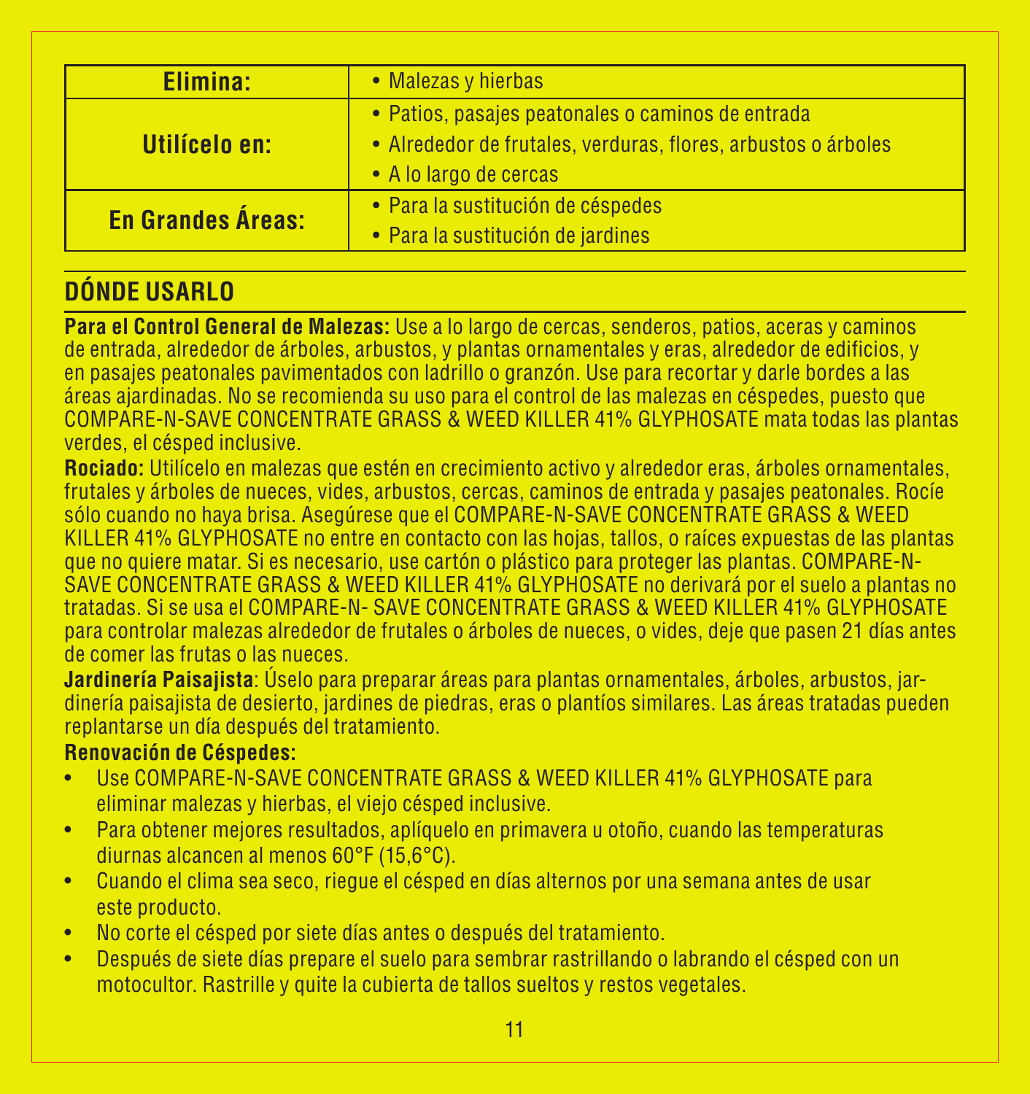| Elimina:                 | • Malezas y hierbas                                                                                                                          |
|--------------------------|----------------------------------------------------------------------------------------------------------------------------------------------|
| Utilícelo en:            | • Patios, pasajes peatonales o caminos de entrada<br>· Alrededor de frutales, verduras, flores, arbustos o árboles<br>• A lo largo de cercas |
| <b>En Grandes Áreas:</b> | · Para la sustitución de céspedes<br>· Para la sustitución de jardines                                                                       |

### **DÓNDE USARLO**

**Para el Control General de Malezas:** Use a lo largo de cercas, senderos, patios, aceras y caminos de entrada, alrededor de árboles, arbustos, y plantas ornamentales y eras, alrededor de edificios, y en pasajes peatonales pavimentados con ladrillo o granzón. Use para recortar y darle bordes a las áreas ajardinadas. No se recomienda su uso para el control de las malezas en céspedes, puesto que COMPARE-N-SAVE CONCENTRATE GRASS & WEED KILLER 41% GLYPHOSATE mata todas las plantas verdes, el césped inclusive.

**Rociado:** Utilícelo en malezas que estén en crecimiento activo y alrededor eras, árboles ornamentales, frutales y árboles de nueces, vides, arbustos, cercas, caminos de entrada y pasajes peatonales. Rocíe sólo cuando no haya brisa. Asegúrese que el COMPARE-N-SAVE CONCENTRATE GRASS & WEED KILLER 41% GLYPHOSATE no entre en contacto con las hojas, tallos, o raíces expuestas de las plantas que no quiere matar. Si es necesario, use cartón o plástico para proteger las plantas. COMPARE-N-SAVE CONCENTRATE GRASS & WEED KILLER 41% GLYPHOSATE no derivará por el suelo a plantas no tratadas. Si se usa el COMPARE-N- SAVE CONCENTRATE GRASS & WEED KILLER 41% GLYPHOSATE para controlar malezas alrededor de frutales o árboles de nueces, o vides, deje que pasen 21 días antes de comer las frutas o las nueces.

**Jardinería Paisajista**: Úselo para preparar áreas para plantas ornamentales, árboles, arbustos, jardinería paisajista de desierto, jardines de piedras, eras o plantíos similares. Las áreas tratadas pueden replantarse un día después del tratamiento.

#### **Renovación de Céspedes:**

- Use COMPARE-N-SAVE CONCENTRATE GRASS & WEED KILLER 41% GLYPHOSATE para eliminar malezas y hierbas, el viejo césped inclusive.
- • Para obtener mejores resultados, aplíquelo en primavera u otoño, cuando las temperaturas diurnas alcancen al menos 60°F (15,6°C).
- • Cuando el clima sea seco, riegue el césped en días alternos por una semana antes de usar este producto.
- • No corte el césped por siete días antes o después del tratamiento.
- • Después de siete días prepare el suelo para sembrar rastrillando o labrando el césped con un motocultor. Rastrille y quite la cubierta de tallos sueltos y restos vegetales.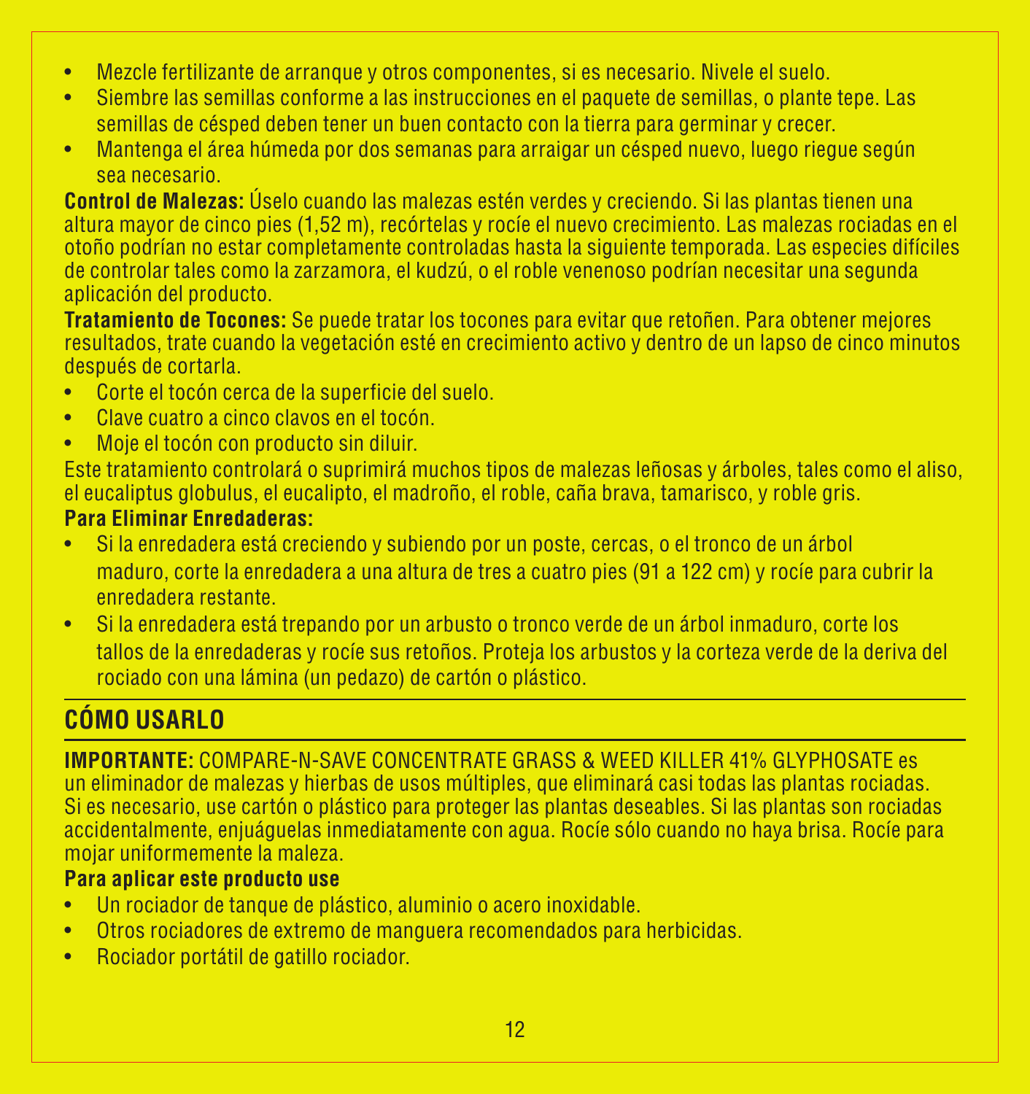- • Mezcle fertilizante de arranque y otros componentes, si es necesario. Nivele el suelo.
- • Siembre las semillas conforme a las instrucciones en el paquete de semillas, o plante tepe. Las semillas de césped deben tener un buen contacto con la tierra para germinar y crecer.
- • Mantenga el área húmeda por dos semanas para arraigar un césped nuevo, luego riegue según sea necesario.

**Control de Malezas:** Úselo cuando las malezas estén verdes y creciendo. Si las plantas tienen una altura mayor de cinco pies (1,52 m), recórtelas y rocíe el nuevo crecimiento. Las malezas rociadas en el otoño podrían no estar completamente controladas hasta la siguiente temporada. Las especies difíciles de controlar tales como la zarzamora, el kudzú, o el roble venenoso podrían necesitar una segunda aplicación del producto.

**Tratamiento de Tocones:** Se puede tratar los tocones para evitar que retoñen. Para obtener mejores resultados, trate cuando la vegetación esté en crecimiento activo y dentro de un lapso de cinco minutos después de cortarla.

- • Corte el tocón cerca de la superficie del suelo.
- • Clave cuatro a cinco clavos en el tocón.
- • Moje el tocón con producto sin diluir.

Este tratamiento controlará o suprimirá muchos tipos de malezas leñosas y árboles, tales como el aliso, el eucaliptus globulus, el eucalipto, el madroño, el roble, caña brava, tamarisco, y roble gris. **Para Eliminar Enredaderas:**

- Si la enredadera está creciendo y subiendo por un poste, cercas, o el tronco de un árbol maduro, corte la enredadera a una altura de tres a cuatro pies (91 a 122 cm) y rocíe para cubrir la enredadera restante.
- • Si la enredadera está trepando por un arbusto o tronco verde de un árbol inmaduro, corte los tallos de la enredaderas y rocíe sus retoños. Proteja los arbustos y la corteza verde de la deriva del rociado con una lámina (un pedazo) de cartón o plástico.

### **CÓMO USARLO**

**IMPORTANTE:** COMPARE-N-SAVE CONCENTRATE GRASS & WEED KILLER 41% GLYPHOSATE es un eliminador de malezas y hierbas de usos múltiples, que eliminará casi todas las plantas rociadas. Si es necesario, use cartón o plástico para proteger las plantas deseables. Si las plantas son rociadas accidentalmente, enjuáguelas inmediatamente con agua. Rocíe sólo cuando no haya brisa. Rocíe para mojar uniformemente la maleza.

#### **Para aplicar este producto use**

- • Un rociador de tanque de plástico, aluminio o acero inoxidable.
- • Otros rociadores de extremo de manguera recomendados para herbicidas.
- • Rociador portátil de gatillo rociador.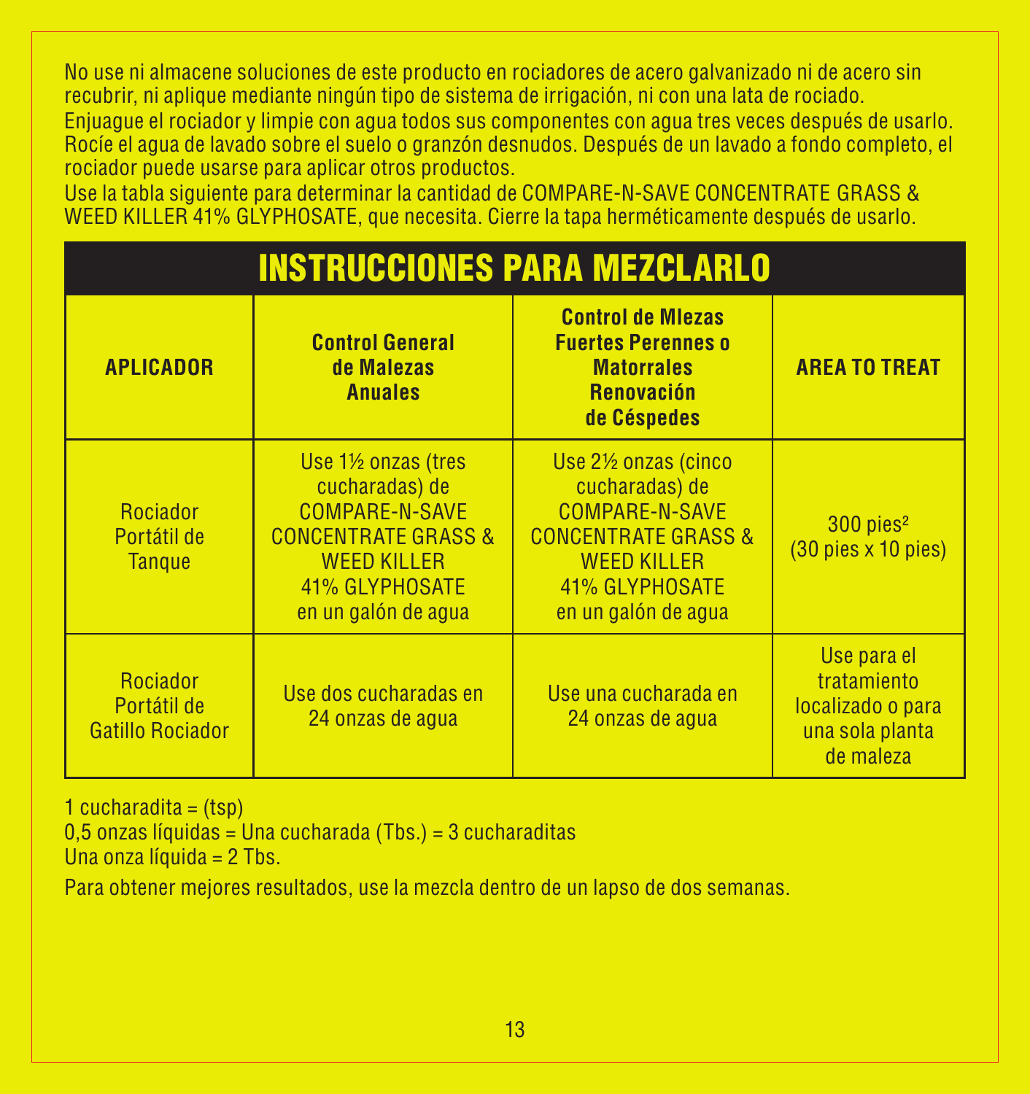No use ni almacene soluciones de este producto en rociadores de acero galvanizado ni de acero sin recubrir, ni aplique mediante ningún tipo de sistema de irrigación, ni con una lata de rociado.

Enjuague el rociador y limpie con agua todos sus componentes con agua tres veces después de usarlo. Rocíe el agua de lavado sobre el suelo o granzón desnudos. Después de un lavado a fondo completo, el rociador puede usarse para aplicar otros productos.

Use la tabla siguiente para determinar la cantidad de COMPARE-N-SAVE CONCENTRATE GRASS & WEED KILLER 41% GLYPHOSATE, que necesita. Cierre la tapa herméticamente después de usarlo.

| <b>INSTRUCCIONES PARA MEZCLARLO</b>                |                                                                                                                                                         |                                                                                                                                                                        |                                                                                 |  |  |
|----------------------------------------------------|---------------------------------------------------------------------------------------------------------------------------------------------------------|------------------------------------------------------------------------------------------------------------------------------------------------------------------------|---------------------------------------------------------------------------------|--|--|
| <b>APLICADOR</b>                                   | <b>Control General</b><br>de Malezas<br><b>Anuales</b>                                                                                                  | <b>Control de Miezas</b><br><b>Fuertes Perennes o</b><br><b>Matorrales</b><br>Renovación<br>de Céspedes                                                                | <b>AREA TO TREAT</b>                                                            |  |  |
| <b>Rociador</b><br>Portátil de<br>Tangue           | Use 1½ onzas (tres<br>cucharadas) de<br>COMPARE-N-SAVE<br><b>CONCENTRATE GRASS &amp;</b><br><b>WEED KILLER</b><br>41% GLYPHOSATE<br>en un galón de agua | Use 2 <sup>1/2</sup> onzas (cinco<br>cucharadas) de<br>COMPARE-N-SAVE<br><b>CONCENTRATE GRASS &amp;</b><br><b>WEED KILLER</b><br>41% GLYPHOSATE<br>en un galón de agua | 300 pies <sup>2</sup><br>$(30$ pies $\times$ 10 pies)                           |  |  |
| Rociador<br>Portátil de<br><b>Gatillo Rociador</b> | Use dos cucharadas en<br>24 onzas de aqua                                                                                                               | Use una cucharada en<br>24 onzas de agua                                                                                                                               | Use para el<br>tratamiento<br>localizado o para<br>una sola planta<br>de maleza |  |  |

 $1$  cucharadita =  $(tsp)$ 

0,5 onzas líquidas = Una cucharada (Tbs.) = 3 cucharaditas

Una onza líquida = 2 Tbs.

Para obtener mejores resultados, use la mezcla dentro de un lapso de dos semanas.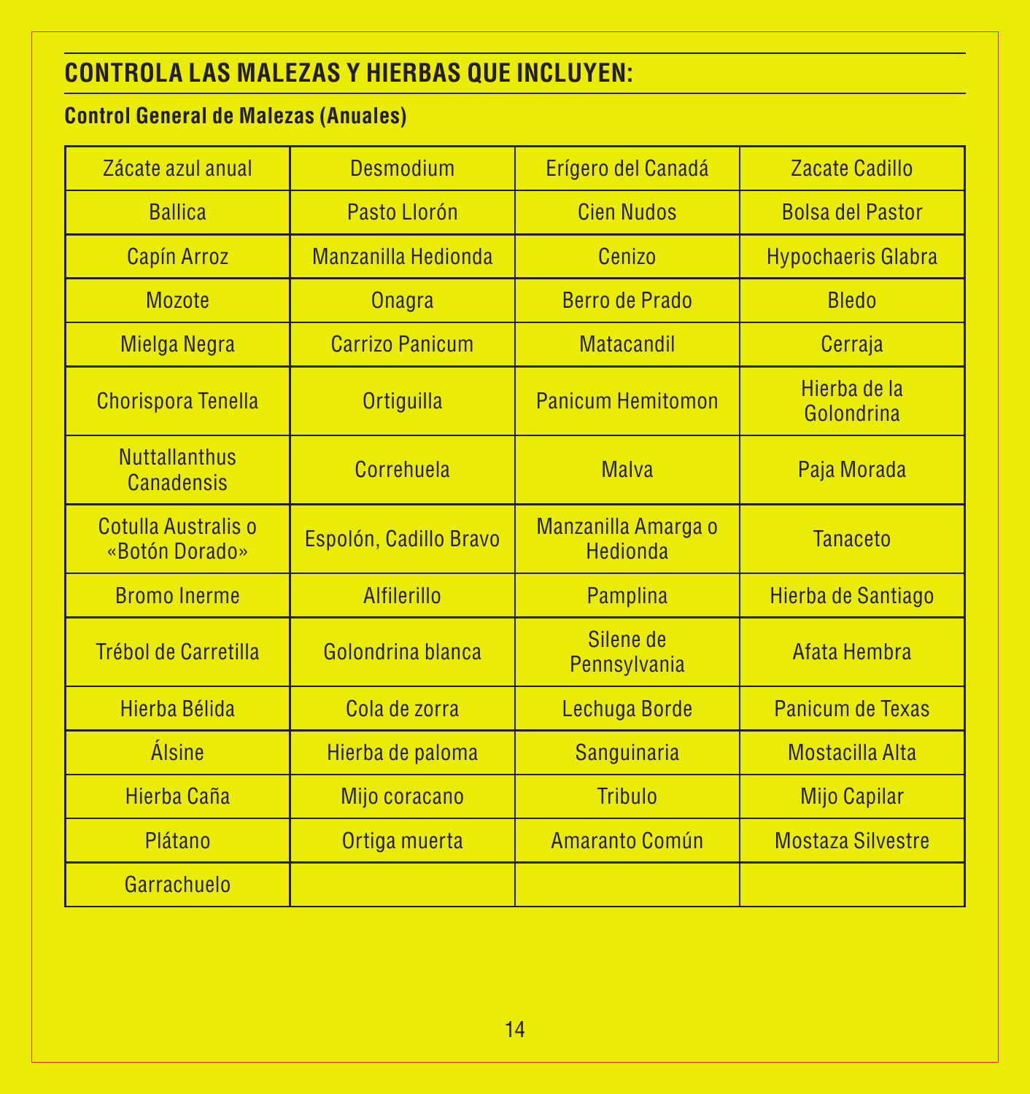### **CONTROLA LAS MALEZAS Y HIERBAS QUE INCLUYEN:**

### **Control General de Malezas (Anuales)**

| Zácate azul anual                         | Desmodium                  | Erígero del Canadá                     | Zacate Cadillo             |
|-------------------------------------------|----------------------------|----------------------------------------|----------------------------|
| <b>Ballica</b>                            | Pasto Llorón               | <b>Cien Nudos</b>                      | <b>Bolsa del Pastor</b>    |
| <b>Capín Arroz</b>                        | <b>Manzanilla Hedionda</b> | Cenizo                                 | <b>Hypochaeris Glabra</b>  |
| <b>Mozote</b>                             | <b>Onagra</b>              | <b>Berro de Prado</b>                  | <b>Bledo</b>               |
| <b>Mielga Negra</b>                       | <b>Carrizo Panicum</b>     | <b>Matacandil</b>                      | Cerraja                    |
| <b>Chorispora Tenella</b>                 | <b>Ortiguilla</b>          | <b>Panicum Hemitomon</b>               | Hierba de la<br>Golondrina |
| <b>Nuttallanthus</b><br><b>Canadensis</b> | Correhuela                 | <b>Malva</b>                           | Paja Morada                |
| Cotulla Australis o<br>«Botón Dorado»     | Espolón, Cadillo Bravo     | Manzanilla Amarga o<br><b>Hedionda</b> | <b>Tanaceto</b>            |
| <b>Bromo</b> Inerme                       | Alfilerillo                | Pamplina                               | Hierba de Santiago         |
| <b>Trébol de Carretilla</b>               | Golondrina blanca          | Silene de<br>Pennsylvania              | Afata Hembra               |
| Hierba Bélida                             | Cola de zorra              | Lechuga Borde                          | Panicum de Texas           |
| Álsine                                    | Hierba de paloma           | Sanguinaria                            | <b>Mostacilla Alta</b>     |
| Hierba Caña                               | Mijo coracano              | Tribulo                                | <b>Mijo Capilar</b>        |
| Plátano                                   | Ortiga muerta              | Amaranto Común                         | <b>Mostaza Silvestre</b>   |
| Garrachuelo                               |                            |                                        |                            |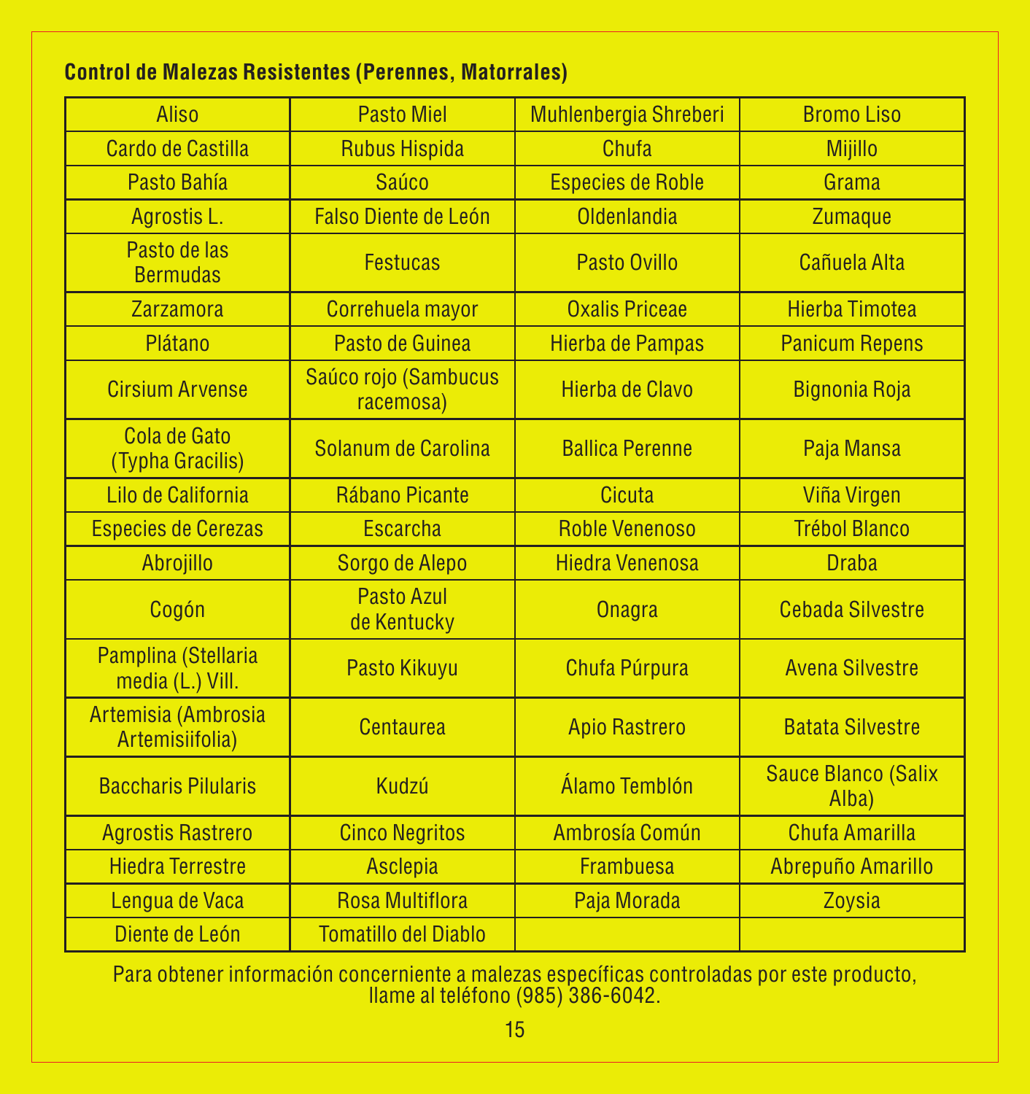#### **Control de Malezas Resistentes (Perennes, Matorrales)**

| Aliso                                   | <b>Pasto Miel</b>                 | Muhlenbergia Shreberi    | <b>BromoLiso</b>                    |
|-----------------------------------------|-----------------------------------|--------------------------|-------------------------------------|
| Cardo de Castilla                       | <b>Rubus Hispida</b>              | Chufa                    | <b>Mijillo</b>                      |
| Pasto Bahía                             | Saúco                             | <b>Especies de Roble</b> | Grama                               |
| Agrostis L.                             | <b>Falso Diente de León</b>       | Oldenlandia              | <b>Zumaque</b>                      |
| Pasto de las<br><b>Bermudas</b>         | <b>Festucas</b>                   | Pasto Ovillo             | Cañuela Alta                        |
| Zarzamora                               | Correhuela mayor                  | <b>Oxalis Priceae</b>    | <b>Hierba Timotea</b>               |
| Plátano                                 | Pasto de Guinea                   | Hierba de Pampas         | <b>Panicum Repens</b>               |
| <b>Cirsium Arvense</b>                  | Saúco rojo (Sambucus<br>racemosa) | Hierba de Clavo          | <b>Bignonia Roja</b>                |
| Cola de Gato<br>(Typha Gracilis)        | Solanum de Carolina               | <b>Ballica Perenne</b>   | Paja Mansa                          |
| Lilo de California                      | Rábano Picante                    | Cicuta                   | Viña Virgen                         |
| <b>Especies de Cerezas</b>              | <b>Escarcha</b>                   | <b>Roble Venenoso</b>    | <b>Trébol Blanco</b>                |
| Abrojillo                               | Sorgo de Alepo                    | <b>Hiedra Venenosa</b>   | <b>Draba</b>                        |
| Cogón                                   | Pasto Azul<br>de Kentucky         | <b>Onagra</b>            | <b>Cebada Silvestre</b>             |
| Pamplina (Stellaria<br>media (L.) Vill. | Pasto Kikuyu                      | Chufa Púrpura            | <b>Avena Silvestre</b>              |
| Artemisia (Ambrosia<br>Artemisiifolia)  | Centaurea                         | <b>Apio Rastrero</b>     | <b>Batata Silvestre</b>             |
| <b>Baccharis Pilularis</b>              | Kudzú                             | Álamo Temblón            | <b>Sauce Blanco (Salix</b><br>Alba) |
| <b>Agrostis Rastrero</b>                | <b>Cinco Negritos</b>             | Ambrosía Común           | <b>Chufa Amarilla</b>               |
| <b>Hiedra Terrestre</b>                 | <b>Asclepia</b>                   | <b>Frambuesa</b>         | Abrepuño Amarillo                   |
| Lengua de Vaca                          | <b>Rosa Multiflora</b>            | Paja Morada              | Zoysia                              |
| Diente de León                          | <b>Tomatillo del Diablo</b>       |                          |                                     |

Para obtener información concerniente a malezas específicas controladas por este producto, llame al teléfono (985) 386-6042.